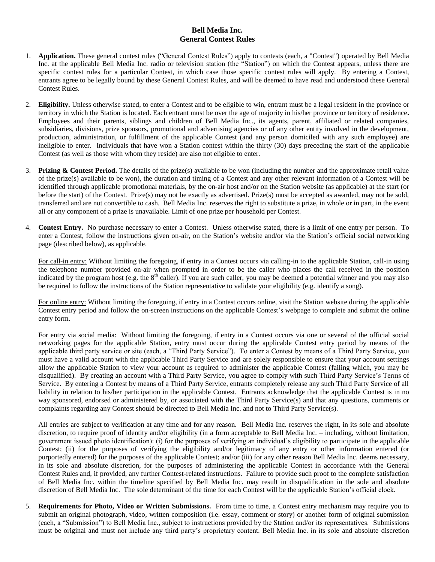## **Bell Media Inc. General Contest Rules**

- 1. **Application.** These general contest rules ("General Contest Rules") apply to contests (each, a "Contest") operated by Bell Media Inc. at the applicable Bell Media Inc. radio or television station (the "Station") on which the Contest appears, unless there are specific contest rules for a particular Contest, in which case those specific contest rules will apply. By entering a Contest, entrants agree to be legally bound by these General Contest Rules, and will be deemed to have read and understood these General Contest Rules.
- 2. **Eligibility.** Unless otherwise stated, to enter a Contest and to be eligible to win, entrant must be a legal resident in the province or territory in which the Station is located. Each entrant must be over the age of majority in his/her province or territory of residence**.**  Employees and their parents, siblings and children of Bell Media Inc., its agents, parent, affiliated or related companies, subsidiaries, divisions, prize sponsors, promotional and advertising agencies or of any other entity involved in the development, production, administration, or fulfillment of the applicable Contest (and any person domiciled with any such employee) are ineligible to enter.Individuals that have won a Station contest within the thirty (30) days preceding the start of the applicable Contest (as well as those with whom they reside) are also not eligible to enter.
- 3. **Prizing & Contest Period.** The details of the prize(s) available to be won (including the number and the approximate retail value of the prize(s) available to be won), the duration and timing of a Contest and any other relevant information of a Contest will be identified through applicable promotional materials, by the on-air host and/or on the Station website (as applicable) at the start (or before the start) of the Contest. Prize(s) may not be exactly as advertised. Prize(s) must be accepted as awarded, may not be sold, transferred and are not convertible to cash. Bell Media Inc. reserves the right to substitute a prize, in whole or in part, in the event all or any component of a prize is unavailable. Limit of one prize per household per Contest.
- 4. **Contest Entry.** No purchase necessary to enter a Contest. Unless otherwise stated, there is a limit of one entry per person.To enter a Contest, follow the instructions given on-air, on the Station's website and/or via the Station's official social networking page (described below), as applicable.

For call-in entry: Without limiting the foregoing, if entry in a Contest occurs via calling-in to the applicable Station, call-in using the telephone number provided on-air when prompted in order to be the caller who places the call received in the position indicated by the program host (e.g. the  $8<sup>th</sup>$  caller). If you are such caller, you may be deemed a potential winner and you may also be required to follow the instructions of the Station representative to validate your eligibility (e.g. identify a song).

For online entry: Without limiting the foregoing, if entry in a Contest occurs online, visit the Station website during the applicable Contest entry period and follow the on-screen instructions on the applicable Contest's webpage to complete and submit the online entry form.

For entry via social media: Without limiting the foregoing, if entry in a Contest occurs via one or several of the official social networking pages for the applicable Station, entry must occur during the applicable Contest entry period by means of the applicable third party service or site (each, a "Third Party Service"). To enter a Contest by means of a Third Party Service, you must have a valid account with the applicable Third Party Service and are solely responsible to ensure that your account settings allow the applicable Station to view your account as required to administer the applicable Contest (failing which, you may be disqualified). By creating an account with a Third Party Service, you agree to comply with such Third Party Service's Terms of Service. By entering a Contest by means of a Third Party Service, entrants completely release any such Third Party Service of all liability in relation to his/her participation in the applicable Contest. Entrants acknowledge that the applicable Contest is in no way sponsored, endorsed or administered by, or associated with the Third Party Service(s) and that any questions, comments or complaints regarding any Contest should be directed to Bell Media Inc. and not to Third Party Service(s).

All entries are subject to verification at any time and for any reason. Bell Media Inc. reserves the right, in its sole and absolute discretion, to require proof of identity and/or eligibility (in a form acceptable to Bell Media Inc. – including, without limitation, government issued photo identification): (i) for the purposes of verifying an individual's eligibility to participate in the applicable Contest; (ii) for the purposes of verifying the eligibility and/or legitimacy of any entry or other information entered (or purportedly entered) for the purposes of the applicable Contest; and/or (iii) for any other reason Bell Media Inc. deems necessary, in its sole and absolute discretion, for the purposes of administering the applicable Contest in accordance with the General Contest Rules and, if provided, any further Contest-related instructions. Failure to provide such proof to the complete satisfaction of Bell Media Inc. within the timeline specified by Bell Media Inc. may result in disqualification in the sole and absolute discretion of Bell Media Inc. The sole determinant of the time for each Contest will be the applicable Station's official clock.

5. **Requirements for Photo, Video or Written Submissions.** From time to time, a Contest entry mechanism may require you to submit an original photograph, video, written composition (i.e. essay, comment or story) or another form of original submission (each, a "Submission") to Bell Media Inc., subject to instructions provided by the Station and/or its representatives. Submissions must be original and must not include any third party's proprietary content. Bell Media Inc. in its sole and absolute discretion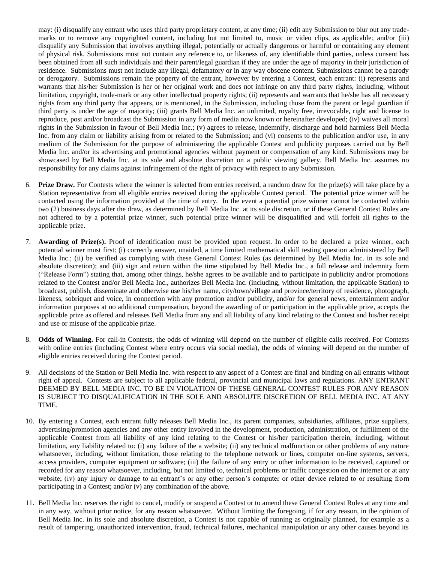may: (i) disqualify any entrant who uses third party proprietary content, at any time; (ii) edit any Submission to blur out any trademarks or to remove any copyrighted content, including but not limited to, music or video clips, as applicable; and/or (iii) disqualify any Submission that involves anything illegal, potentially or actually dangerous or harmful or containing any element of physical risk. Submissions must not contain any reference to, or likeness of, any identifiable third parties, unless consent has been obtained from all such individuals and their parent/legal guardian if they are under the age of majority in their jurisdiction of residence. Submissions must not include any illegal, defamatory or in any way obscene content. Submissions cannot be a parody or derogatory. Submissions remain the property of the entrant, however by entering a Contest, each entrant: (i) represents and warrants that his/her Submission is her or her original work and does not infringe on any third party rights, including, without limitation, copyright, trade-mark or any other intellectual property rights; (ii) represents and warrants that he/she has all necessary rights from any third party that appears, or is mentioned, in the Submission, including those from the parent or legal guardian if third party is under the age of majority; (iii) grants Bell Media Inc. an unlimited, royalty free, irrevocable, right and license to reproduce, post and/or broadcast the Submission in any form of media now known or hereinafter developed; (iv) waives all moral rights in the Submission in favour of Bell Media Inc.; (v) agrees to release, indemnify, discharge and hold harmless Bell Media Inc. from any claim or liability arising from or related to the Submission; and (vi) consents to the publication and/or use, in any medium of the Submission for the purpose of administering the applicable Contest and publicity purposes carried out by Bell Media Inc. and/or its advertising and promotional agencies without payment or compensation of any kind. Submissions may be showcased by Bell Media Inc. at its sole and absolute discretion on a public viewing gallery. Bell Media Inc. assumes no responsibility for any claims against infringement of the right of privacy with respect to any Submission.

- 6. **Prize Draw.** For Contests where the winner is selected from entries received, a random draw for the prize(s) will take place by a Station representative from all eligible entries received during the applicable Contest period. The potential prize winner will be contacted using the information provided at the time of entry. In the event a potential prize winner cannot be contacted within two (2) business days after the draw, as determined by Bell Media Inc. at its sole discretion, or if these General Contest Rules are not adhered to by a potential prize winner, such potential prize winner will be disqualified and will forfeit all rights to the applicable prize.
- 7. **Awarding of Prize(s).** Proof of identification must be provided upon request. In order to be declared a prize winner, each potential winner must first: (i) correctly answer, unaided, a time limited mathematical skill testing question administered by Bell Media Inc.; (ii) be verified as complying with these General Contest Rules (as determined by Bell Media Inc. in its sole and absolute discretion); and (iii) sign and return within the time stipulated by Bell Media Inc., a full release and indemnity form ("Release Form") stating that, among other things, he/she agrees to be available and to participate in publicity and/or promotions related to the Contest and/or Bell Media Inc., authorizes Bell Media Inc. (including, without limitation, the applicable Station) to broadcast, publish, disseminate and otherwise use his/her name, city/town/village and province/territory of residence, photograph, likeness, sobriquet and voice, in connection with any promotion and/or publicity, and/or for general news, entertainment and/or information purposes at no additional compensation, beyond the awarding of or participation in the applicable prize, accepts the applicable prize as offered and releases Bell Media from any and all liability of any kind relating to the Contest and his/her receipt and use or misuse of the applicable prize.
- 8. **Odds of Winning.** For call-in Contests, the odds of winning will depend on the number of eligible calls received. For Contests with online entries (including Contest where entry occurs via social media), the odds of winning will depend on the number of eligible entries received during the Contest period.
- 9. All decisions of the Station or Bell Media Inc. with respect to any aspect of a Contest are final and binding on all entrants without right of appeal. Contests are subject to all applicable federal, provincial and municipal laws and regulations. ANY ENTRANT DEEMED BY BELL MEDIA INC. TO BE IN VIOLATION OF THESE GENERAL CONTEST RULES FOR ANY REASON IS SUBJECT TO DISQUALIFICATION IN THE SOLE AND ABSOLUTE DISCRETION OF BELL MEDIA INC. AT ANY TIME.
- 10. By entering a Contest, each entrant fully releases Bell Media Inc., its parent companies, subsidiaries, affiliates, prize suppliers, advertising/promotion agencies and any other entity involved in the development, production, administration, or fulfillment of the applicable Contest from all liability of any kind relating to the Contest or his/her participation therein, including, without limitation, any liability related to: (i) any failure of the a website; (ii) any technical malfunction or other problems of any nature whatsoever, including, without limitation, those relating to the telephone network or lines, computer on-line systems, servers, access providers, computer equipment or software; (iii) the failure of any entry or other information to be received, captured or recorded for any reason whatsoever, including, but not limited to, technical problems or traffic congestion on the internet or at any website; (iv) any injury or damage to an entrant's or any other person's computer or other device related to or resulting from participating in a Contest; and/or (v) any combination of the above.
- 11. Bell Media Inc. reserves the right to cancel, modify or suspend a Contest or to amend these General Contest Rules at any time and in any way, without prior notice, for any reason whatsoever. Without limiting the foregoing, if for any reason, in the opinion of Bell Media Inc. in its sole and absolute discretion, a Contest is not capable of running as originally planned, for example as a result of tampering, unauthorized intervention, fraud, technical failures, mechanical manipulation or any other causes beyond its